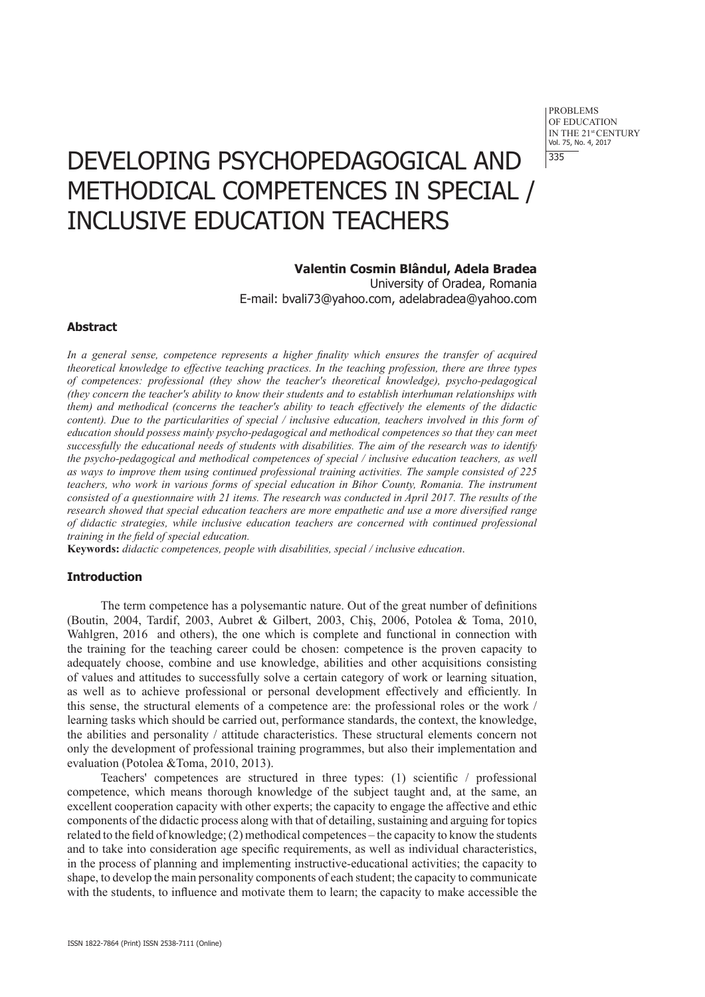PROBLEMS OF EDUCATION IN THE 21st CENTURY Vol. 75, No. 4, 2017 335

# DEVELOPING PSYCHOPEDAGOGICAL AND METHODICAL COMPETENCES IN SPECIAL / INCLUSIVE EDUCATION TEACHERS

## **Valentin Cosmin Blândul, Adela Bradea**

University of Oradea, Romania E-mail: bvali73@yahoo.com, adelabradea@yahoo.com

## **Abstract**

*In a general sense, competence represents a higher finality which ensures the transfer of acquired theoretical knowledge to effective teaching practices. In the teaching profession, there are three types of competences: professional (they show the teacher's theoretical knowledge), psycho-pedagogical (they concern the teacher's ability to know their students and to establish interhuman relationships with them) and methodical (concerns the teacher's ability to teach effectively the elements of the didactic content). Due to the particularities of special / inclusive education, teachers involved in this form of education should possess mainly psycho-pedagogical and methodical competences so that they can meet successfully the educational needs of students with disabilities. The aim of the research was to identify the psycho-pedagogical and methodical competences of special / inclusive education teachers, as well as ways to improve them using continued professional training activities. The sample consisted of 225 teachers, who work in various forms of special education in Bihor County, Romania. The instrument consisted of a questionnaire with 21 items. The research was conducted in April 2017. The results of the research showed that special education teachers are more empathetic and use a more diversified range of didactic strategies, while inclusive education teachers are concerned with continued professional training in the field of special education.*

**Keywords:** *didactic competences, people with disabilities, special / inclusive education*.

# **Introduction**

The term competence has a polysemantic nature. Out of the great number of definitions (Boutin, 2004, Tardif, 2003, Aubret & Gilbert, 2003, Chiş, 2006, Potolea & Toma, 2010, Wahlgren, 2016 and others), the one which is complete and functional in connection with the training for the teaching career could be chosen: competence is the proven capacity to adequately choose, combine and use knowledge, abilities and other acquisitions consisting of values and attitudes to successfully solve a certain category of work or learning situation, as well as to achieve professional or personal development effectively and efficiently. In this sense, the structural elements of a competence are: the professional roles or the work / learning tasks which should be carried out, performance standards, the context, the knowledge, the abilities and personality / attitude characteristics. These structural elements concern not only the development of professional training programmes, but also their implementation and evaluation (Potolea &Toma, 2010, 2013).

Teachers' competences are structured in three types: (1) scientific / professional competence, which means thorough knowledge of the subject taught and, at the same, an excellent cooperation capacity with other experts; the capacity to engage the affective and ethic components of the didactic process along with that of detailing, sustaining and arguing for topics related to the field of knowledge; (2) methodical competences – the capacity to know the students and to take into consideration age specific requirements, as well as individual characteristics, in the process of planning and implementing instructive-educational activities; the capacity to shape, to develop the main personality components of each student; the capacity to communicate with the students, to influence and motivate them to learn; the capacity to make accessible the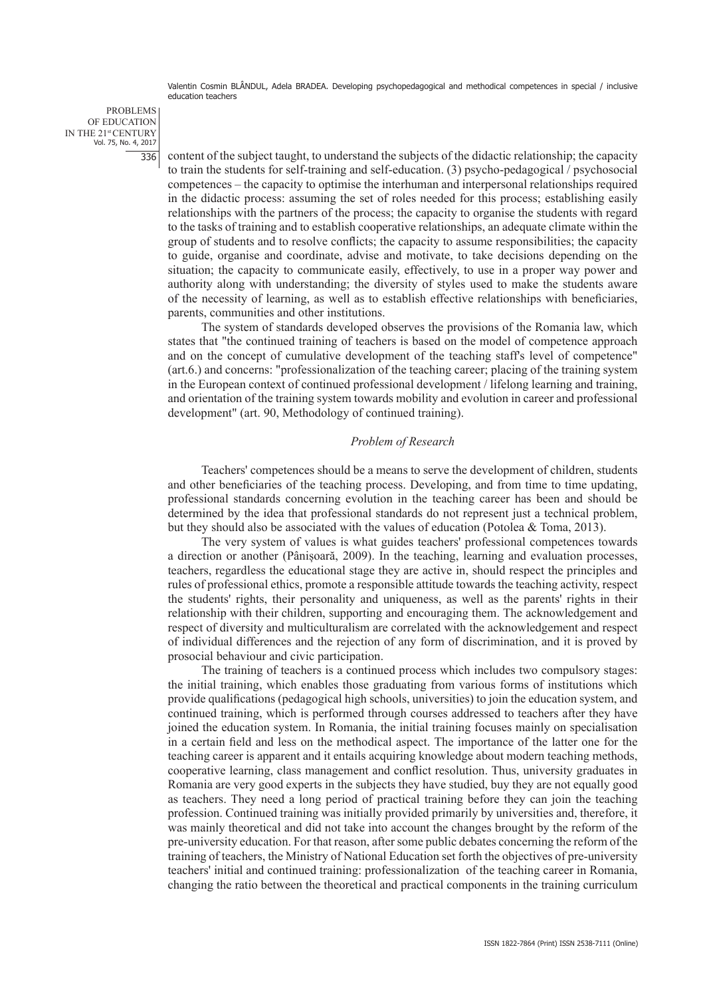PROBLEMS OF EDUCATION IN THE 21st CENTURY Vol. 75, No. 4, 2017 336

content of the subject taught, to understand the subjects of the didactic relationship; the capacity to train the students for self-training and self-education. (3) psycho-pedagogical / psychosocial competences – the capacity to optimise the interhuman and interpersonal relationships required in the didactic process: assuming the set of roles needed for this process; establishing easily relationships with the partners of the process; the capacity to organise the students with regard to the tasks of training and to establish cooperative relationships, an adequate climate within the group of students and to resolve conflicts; the capacity to assume responsibilities; the capacity to guide, organise and coordinate, advise and motivate, to take decisions depending on the situation; the capacity to communicate easily, effectively, to use in a proper way power and authority along with understanding; the diversity of styles used to make the students aware of the necessity of learning, as well as to establish effective relationships with beneficiaries, parents, communities and other institutions.

The system of standards developed observes the provisions of the Romania law, which states that "the continued training of teachers is based on the model of competence approach and on the concept of cumulative development of the teaching staff's level of competence" (art.6.) and concerns: "professionalization of the teaching career; placing of the training system in the European context of continued professional development / lifelong learning and training, and orientation of the training system towards mobility and evolution in career and professional development" (art. 90, Methodology of continued training).

#### *Problem of Research*

Teachers' competences should be a means to serve the development of children, students and other beneficiaries of the teaching process. Developing, and from time to time updating, professional standards concerning evolution in the teaching career has been and should be determined by the idea that professional standards do not represent just a technical problem, but they should also be associated with the values of education (Potolea & Toma, 2013).

The very system of values is what guides teachers' professional competences towards a direction or another (Pânișoară, 2009). In the teaching, learning and evaluation processes, teachers, regardless the educational stage they are active in, should respect the principles and rules of professional ethics, promote a responsible attitude towards the teaching activity, respect the students' rights, their personality and uniqueness, as well as the parents' rights in their relationship with their children, supporting and encouraging them. The acknowledgement and respect of diversity and multiculturalism are correlated with the acknowledgement and respect of individual differences and the rejection of any form of discrimination, and it is proved by prosocial behaviour and civic participation.

The training of teachers is a continued process which includes two compulsory stages: the initial training, which enables those graduating from various forms of institutions which provide qualifications (pedagogical high schools, universities) to join the education system, and continued training, which is performed through courses addressed to teachers after they have joined the education system. In Romania, the initial training focuses mainly on specialisation in a certain field and less on the methodical aspect. The importance of the latter one for the teaching career is apparent and it entails acquiring knowledge about modern teaching methods, cooperative learning, class management and conflict resolution. Thus, university graduates in Romania are very good experts in the subjects they have studied, buy they are not equally good as teachers. They need a long period of practical training before they can join the teaching profession. Continued training was initially provided primarily by universities and, therefore, it was mainly theoretical and did not take into account the changes brought by the reform of the pre-university education. For that reason, after some public debates concerning the reform of the training of teachers, the Ministry of National Education set forth the objectives of pre-university teachers' initial and continued training: professionalization of the teaching career in Romania, changing the ratio between the theoretical and practical components in the training curriculum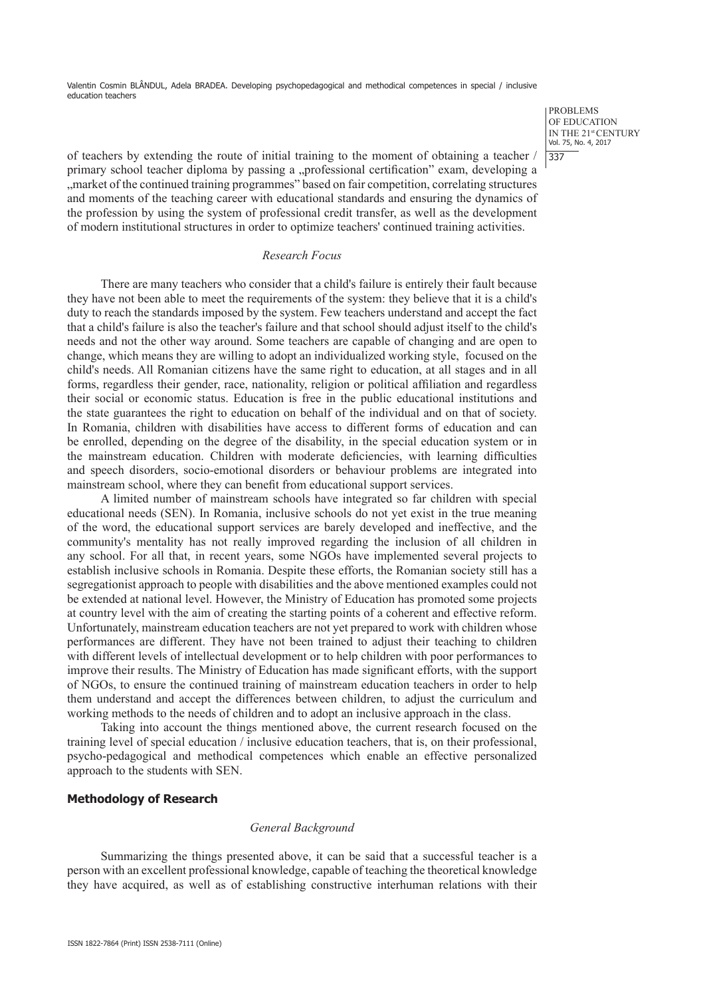> PROBLEMS OF EDUCATION IN THE 21st CENTURY Vol. 75, No. 4, 2017 337

of teachers by extending the route of initial training to the moment of obtaining a teacher / primary school teacher diploma by passing a "professional certification" exam, developing a "market of the continued training programmes" based on fair competition, correlating structures and moments of the teaching career with educational standards and ensuring the dynamics of the profession by using the system of professional credit transfer, as well as the development of modern institutional structures in order to optimize teachers' continued training activities.

#### *Research Focus*

There are many teachers who consider that a child's failure is entirely their fault because they have not been able to meet the requirements of the system: they believe that it is a child's duty to reach the standards imposed by the system. Few teachers understand and accept the fact that a child's failure is also the teacher's failure and that school should adjust itself to the child's needs and not the other way around. Some teachers are capable of changing and are open to change, which means they are willing to adopt an individualized working style, focused on the child's needs. All Romanian citizens have the same right to education, at all stages and in all forms, regardless their gender, race, nationality, religion or political affiliation and regardless their social or economic status. Education is free in the public educational institutions and the state guarantees the right to education on behalf of the individual and on that of society. In Romania, children with disabilities have access to different forms of education and can be enrolled, depending on the degree of the disability, in the special education system or in the mainstream education. Children with moderate deficiencies, with learning difficulties and speech disorders, socio-emotional disorders or behaviour problems are integrated into mainstream school, where they can benefit from educational support services.

A limited number of mainstream schools have integrated so far children with special educational needs (SEN). In Romania, inclusive schools do not yet exist in the true meaning of the word, the educational support services are barely developed and ineffective, and the community's mentality has not really improved regarding the inclusion of all children in any school. For all that, in recent years, some NGOs have implemented several projects to establish inclusive schools in Romania. Despite these efforts, the Romanian society still has a segregationist approach to people with disabilities and the above mentioned examples could not be extended at national level. However, the Ministry of Education has promoted some projects at country level with the aim of creating the starting points of a coherent and effective reform. Unfortunately, mainstream education teachers are not yet prepared to work with children whose performances are different. They have not been trained to adjust their teaching to children with different levels of intellectual development or to help children with poor performances to improve their results. The Ministry of Education has made significant efforts, with the support of NGOs, to ensure the continued training of mainstream education teachers in order to help them understand and accept the differences between children, to adjust the curriculum and working methods to the needs of children and to adopt an inclusive approach in the class.

Taking into account the things mentioned above, the current research focused on the training level of special education / inclusive education teachers, that is, on their professional, psycho-pedagogical and methodical competences which enable an effective personalized approach to the students with SEN.

## **Methodology of Research**

#### *General Background*

Summarizing the things presented above, it can be said that a successful teacher is a person with an excellent professional knowledge, capable of teaching the theoretical knowledge they have acquired, as well as of establishing constructive interhuman relations with their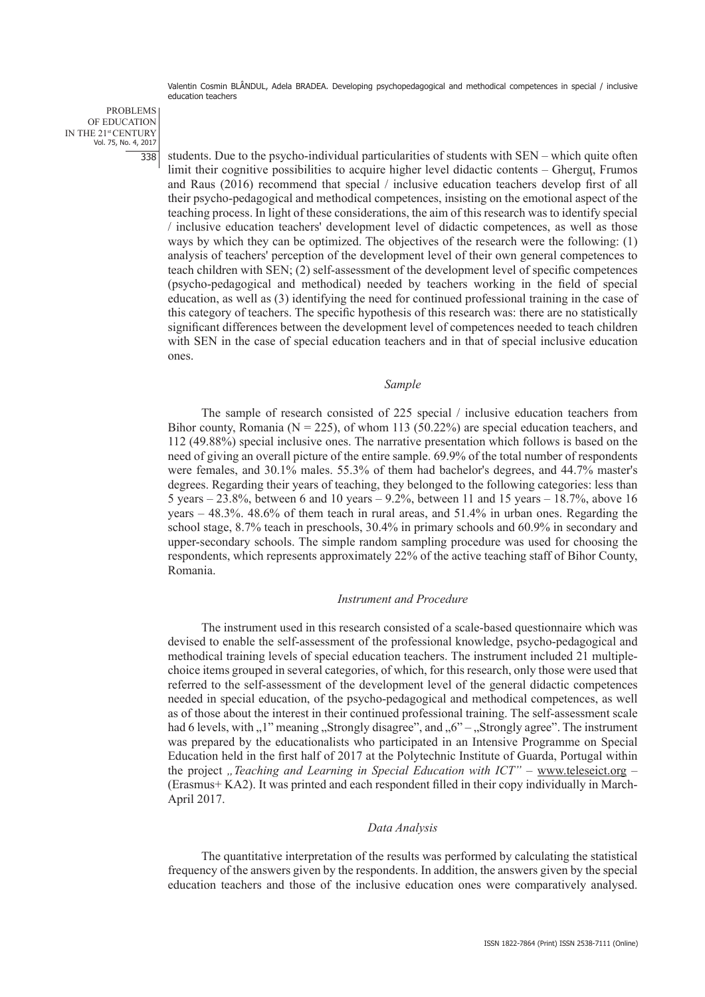PROBLEMS OF EDUCATION IN THE 21st CENTURY Vol. 75, No. 4, 2017 338

students. Due to the psycho-individual particularities of students with SEN – which quite often limit their cognitive possibilities to acquire higher level didactic contents – Gherguţ, Frumos and Raus (2016) recommend that special / inclusive education teachers develop first of all their psycho-pedagogical and methodical competences, insisting on the emotional aspect of the teaching process. In light of these considerations, the aim of this research was to identify special / inclusive education teachers' development level of didactic competences, as well as those ways by which they can be optimized. The objectives of the research were the following: (1) analysis of teachers' perception of the development level of their own general competences to teach children with SEN; (2) self-assessment of the development level of specific competences (psycho-pedagogical and methodical) needed by teachers working in the field of special education, as well as (3) identifying the need for continued professional training in the case of this category of teachers. The specific hypothesis of this research was: there are no statistically significant differences between the development level of competences needed to teach children with SEN in the case of special education teachers and in that of special inclusive education ones.

#### *Sample*

The sample of research consisted of 225 special / inclusive education teachers from Bihor county, Romania ( $N = 225$ ), of whom 113 (50.22%) are special education teachers, and 112 (49.88%) special inclusive ones. The narrative presentation which follows is based on the need of giving an overall picture of the entire sample. 69.9% of the total number of respondents were females, and 30.1% males. 55.3% of them had bachelor's degrees, and 44.7% master's degrees. Regarding their years of teaching, they belonged to the following categories: less than 5 years – 23.8%, between 6 and 10 years – 9.2%, between 11 and 15 years – 18.7%, above 16 years – 48.3%. 48.6% of them teach in rural areas, and 51.4% in urban ones. Regarding the school stage, 8.7% teach in preschools, 30.4% in primary schools and 60.9% in secondary and upper-secondary schools. The simple random sampling procedure was used for choosing the respondents, which represents approximately 22% of the active teaching staff of Bihor County, Romania.

#### *Instrument and Procedure*

The instrument used in this research consisted of a scale-based questionnaire which was devised to enable the self-assessment of the professional knowledge, psycho-pedagogical and methodical training levels of special education teachers. The instrument included 21 multiplechoice items grouped in several categories, of which, for this research, only those were used that referred to the self-assessment of the development level of the general didactic competences needed in special education, of the psycho-pedagogical and methodical competences, as well as of those about the interest in their continued professional training. The self-assessment scale had 6 levels, with  $\mu$ <sup>1</sup>" meaning  $\mu$  Strongly disagree", and  $\mu$ <sup>o</sup>" –  $\mu$  Strongly agree". The instrument was prepared by the educationalists who participated in an Intensive Programme on Special Education held in the first half of 2017 at the Polytechnic Institute of Guarda, Portugal within the project "Teaching and Learning in Special Education with ICT" – www.teleseict.org -(Erasmus+ KA2). It was printed and each respondent filled in their copy individually in March-April 2017.

#### *Data Analysis*

The quantitative interpretation of the results was performed by calculating the statistical frequency of the answers given by the respondents. In addition, the answers given by the special education teachers and those of the inclusive education ones were comparatively analysed.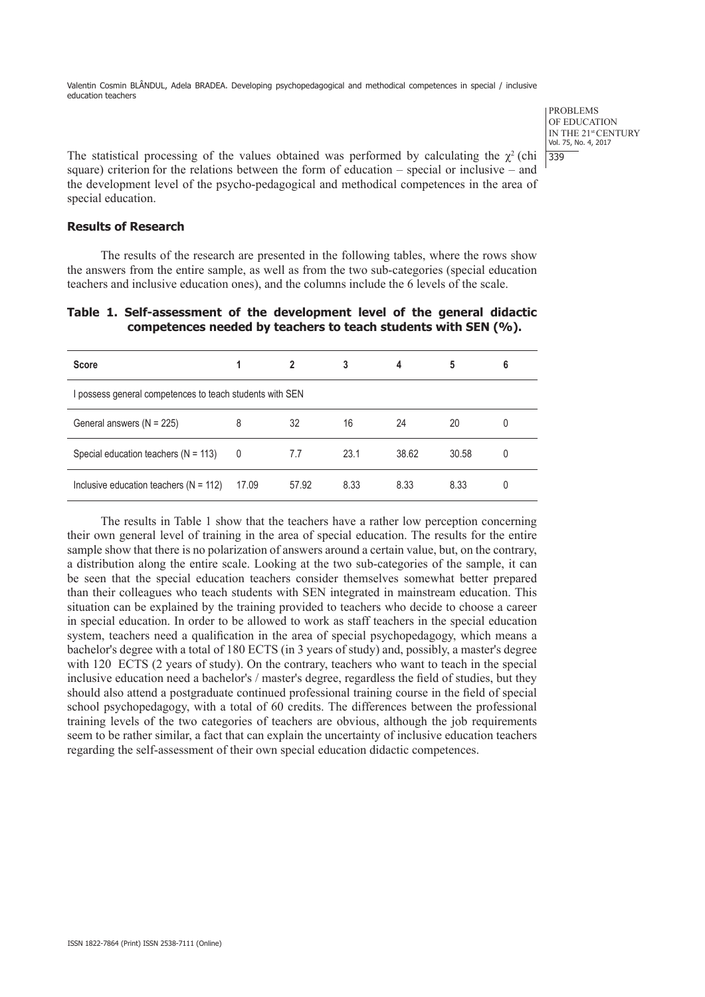> PROBLEMS OF EDUCATION IN THE 21st CENTURY Vol. 75, No. 4, 2017 339

The statistical processing of the values obtained was performed by calculating the  $\gamma^2$  (chi square) criterion for the relations between the form of education – special or inclusive – and the development level of the psycho-pedagogical and methodical competences in the area of special education.

# **Results of Research**

The results of the research are presented in the following tables, where the rows show the answers from the entire sample, as well as from the two sub-categories (special education teachers and inclusive education ones), and the columns include the 6 levels of the scale.

|  |  |  | Table 1. Self-assessment of the development level of the general didactic |  |  |  |  |
|--|--|--|---------------------------------------------------------------------------|--|--|--|--|
|  |  |  | competences needed by teachers to teach students with SEN (%).            |  |  |  |  |

| <b>Score</b>                                             |       |       | 3    | 4     | 5     | 6 |
|----------------------------------------------------------|-------|-------|------|-------|-------|---|
| I possess general competences to teach students with SEN |       |       |      |       |       |   |
| General answers $(N = 225)$                              | 8     | 32    | 16   | 24    | 20    | 0 |
| Special education teachers $(N = 113)$                   | 0     | 7.7   | 23.1 | 38.62 | 30.58 | 0 |
| Inclusive education teachers ( $N = 112$ )               | 17.09 | 57.92 | 8.33 | 8.33  | 8.33  | 0 |

The results in Table 1 show that the teachers have a rather low perception concerning their own general level of training in the area of special education. The results for the entire sample show that there is no polarization of answers around a certain value, but, on the contrary, a distribution along the entire scale. Looking at the two sub-categories of the sample, it can be seen that the special education teachers consider themselves somewhat better prepared than their colleagues who teach students with SEN integrated in mainstream education. This situation can be explained by the training provided to teachers who decide to choose a career in special education. In order to be allowed to work as staff teachers in the special education system, teachers need a qualification in the area of special psychopedagogy, which means a bachelor's degree with a total of 180 ECTS (in 3 years of study) and, possibly, a master's degree with 120 ECTS (2 years of study). On the contrary, teachers who want to teach in the special inclusive education need a bachelor's / master's degree, regardless the field of studies, but they should also attend a postgraduate continued professional training course in the field of special school psychopedagogy, with a total of 60 credits. The differences between the professional training levels of the two categories of teachers are obvious, although the job requirements seem to be rather similar, a fact that can explain the uncertainty of inclusive education teachers regarding the self-assessment of their own special education didactic competences.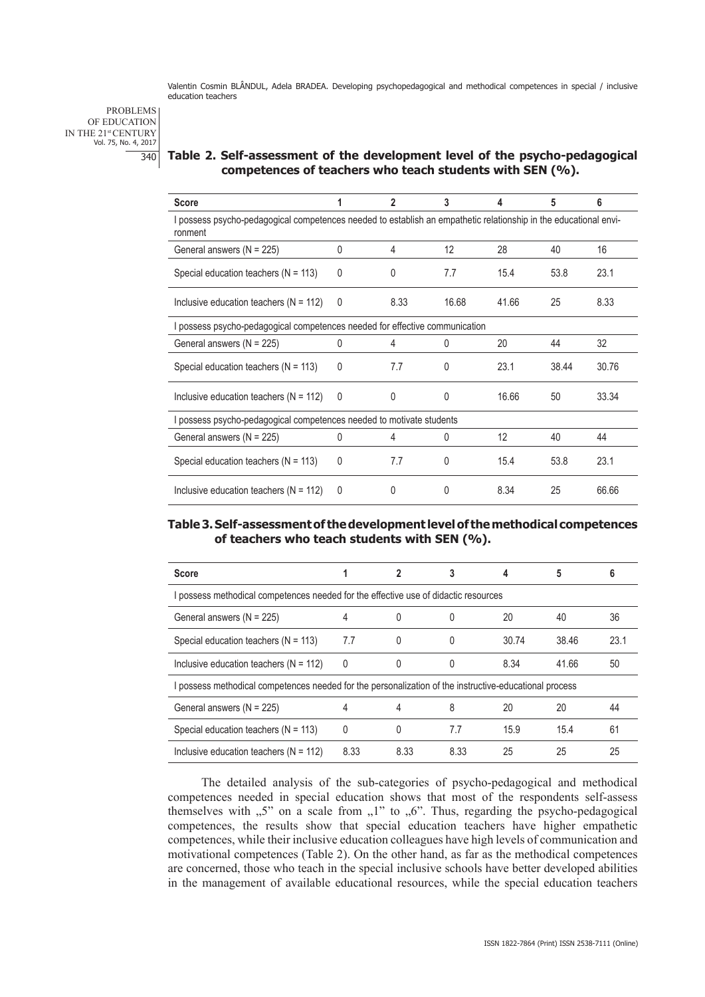PROBLEMS OF EDUCATION IN THE 21st CENTURY Vol. 75, No. 4, 2017  $\overline{340}$ 

# **Table 2. Self-assessment of the development level of the psycho-pedagogical competences of teachers who teach students with SEN (%).**

| <b>Score</b>                                                                                                                |              | 2            | 3     | 4     | 5     | 6     |
|-----------------------------------------------------------------------------------------------------------------------------|--------------|--------------|-------|-------|-------|-------|
| I possess psycho-pedagogical competences needed to establish an empathetic relationship in the educational envi-<br>ronment |              |              |       |       |       |       |
| General answers (N = 225)                                                                                                   | 0            | 4            | 12    | 28    | 40    | 16    |
| Special education teachers ( $N = 113$ )                                                                                    | $\Omega$     | <sup>0</sup> | 7.7   | 15.4  | 53.8  | 23.1  |
| Inclusive education teachers ( $N = 112$ )                                                                                  | $\mathbf{0}$ | 8.33         | 16.68 | 41.66 | 25    | 8.33  |
| possess psycho-pedagogical competences needed for effective communication                                                   |              |              |       |       |       |       |
| General answers (N = 225)                                                                                                   | $\Omega$     | 4            | 0     | 20    | 44    | 32    |
| Special education teachers ( $N = 113$ )                                                                                    | $\mathbf{0}$ | 7.7          | 0     | 23.1  | 38.44 | 30.76 |
| Inclusive education teachers ( $N = 112$ )                                                                                  | $\Omega$     | $\Omega$     | 0     | 16.66 | 50    | 33.34 |
| possess psycho-pedagogical competences needed to motivate students                                                          |              |              |       |       |       |       |
| General answers $(N = 225)$                                                                                                 | O            | 4            | 0     | 12    | 40    | 44    |
| Special education teachers ( $N = 113$ )                                                                                    | $\Omega$     | 7.7          | 0     | 15.4  | 53.8  | 23.1  |
| Inclusive education teachers ( $N = 112$ )                                                                                  | 0            | 0            | 0     | 8.34  | 25    | 66.66 |

## **Table 3. Self-assessment of the development level of the methodical competences of teachers who teach students with SEN (%).**

| <b>Score</b>                                                                                           |      | 2    | 3    | 4     | 5     | 6    |  |
|--------------------------------------------------------------------------------------------------------|------|------|------|-------|-------|------|--|
| I possess methodical competences needed for the effective use of didactic resources                    |      |      |      |       |       |      |  |
| General answers $(N = 225)$                                                                            | 4    | 0    |      | 20    | 40    | 36   |  |
| Special education teachers ( $N = 113$ )                                                               | 7.7  | 0    | 0    | 30.74 | 38.46 | 23.1 |  |
| Inclusive education teachers ( $N = 112$ )                                                             | 0    | 0    | 0    | 8.34  | 41.66 | 50   |  |
| I possess methodical competences needed for the personalization of the instructive-educational process |      |      |      |       |       |      |  |
| General answers $(N = 225)$                                                                            | 4    | 4    | 8    | 20    | 20    | 44   |  |
| Special education teachers ( $N = 113$ )                                                               | 0    | 0    | 7.7  | 15.9  | 15.4  | 61   |  |
| Inclusive education teachers ( $N = 112$ )                                                             | 8.33 | 8.33 | 8.33 | 25    | 25    | 25   |  |

The detailed analysis of the sub-categories of psycho-pedagogical and methodical competences needed in special education shows that most of the respondents self-assess themselves with  $, 5$ " on a scale from  $, 1$ " to  $, 6$ ". Thus, regarding the psycho-pedagogical competences, the results show that special education teachers have higher empathetic competences, while their inclusive education colleagues have high levels of communication and motivational competences (Table 2). On the other hand, as far as the methodical competences are concerned, those who teach in the special inclusive schools have better developed abilities in the management of available educational resources, while the special education teachers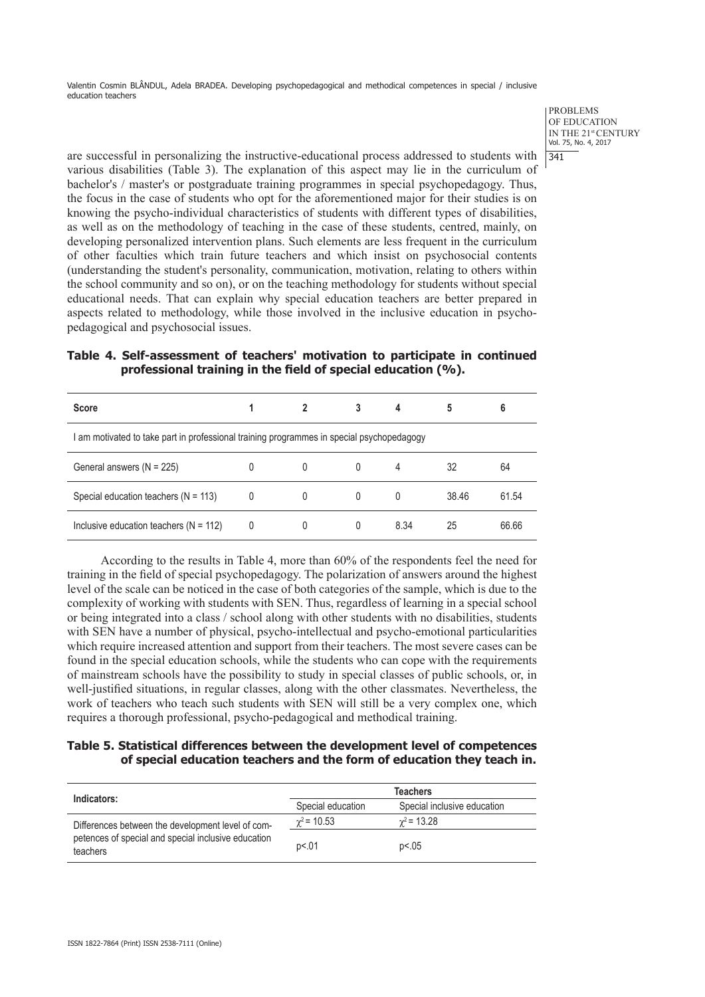> PROBLEMS OF EDUCATION IN THE 21st CENTURY Vol. 75, No. 4, 2017 341

are successful in personalizing the instructive-educational process addressed to students with various disabilities (Table 3). The explanation of this aspect may lie in the curriculum of bachelor's / master's or postgraduate training programmes in special psychopedagogy. Thus, the focus in the case of students who opt for the aforementioned major for their studies is on knowing the psycho-individual characteristics of students with different types of disabilities, as well as on the methodology of teaching in the case of these students, centred, mainly, on developing personalized intervention plans. Such elements are less frequent in the curriculum of other faculties which train future teachers and which insist on psychosocial contents (understanding the student's personality, communication, motivation, relating to others within the school community and so on), or on the teaching methodology for students without special educational needs. That can explain why special education teachers are better prepared in aspects related to methodology, while those involved in the inclusive education in psychopedagogical and psychosocial issues.

| Table 4. Self-assessment of teachers' motivation to participate in continued |  |  |  |
|------------------------------------------------------------------------------|--|--|--|
| professional training in the field of special education (%).                 |  |  |  |

| <b>Score</b>                                                                              |   |        | 3 | 4    | 5     | 6     |
|-------------------------------------------------------------------------------------------|---|--------|---|------|-------|-------|
| I am motivated to take part in professional training programmes in special psychopedagogy |   |        |   |      |       |       |
| General answers (N = 225)                                                                 |   | $\cup$ | 0 | 4    | 32    | 64    |
| Special education teachers ( $N = 113$ )                                                  | 0 |        | 0 | 0    | 38.46 | 61.54 |
| Inclusive education teachers ( $N = 112$ )                                                | 0 |        | 0 | 8.34 | 25    | 66.66 |

According to the results in Table 4, more than 60% of the respondents feel the need for training in the field of special psychopedagogy. The polarization of answers around the highest level of the scale can be noticed in the case of both categories of the sample, which is due to the complexity of working with students with SEN. Thus, regardless of learning in a special school or being integrated into a class / school along with other students with no disabilities, students with SEN have a number of physical, psycho-intellectual and psycho-emotional particularities which require increased attention and support from their teachers. The most severe cases can be found in the special education schools, while the students who can cope with the requirements of mainstream schools have the possibility to study in special classes of public schools, or, in well-justified situations, in regular classes, along with the other classmates. Nevertheless, the work of teachers who teach such students with SEN will still be a very complex one, which requires a thorough professional, psycho-pedagogical and methodical training.

# **Table 5. Statistical differences between the development level of competences of special education teachers and the form of education they teach in.**

| Indicators:                                                     | <b>Teachers</b>   |                             |  |  |  |
|-----------------------------------------------------------------|-------------------|-----------------------------|--|--|--|
|                                                                 | Special education | Special inclusive education |  |  |  |
| Differences between the development level of com-               | $\chi^2$ = 10.53  | $\gamma^2$ = 13.28          |  |  |  |
| petences of special and special inclusive education<br>teachers | p<.01             | p<.05                       |  |  |  |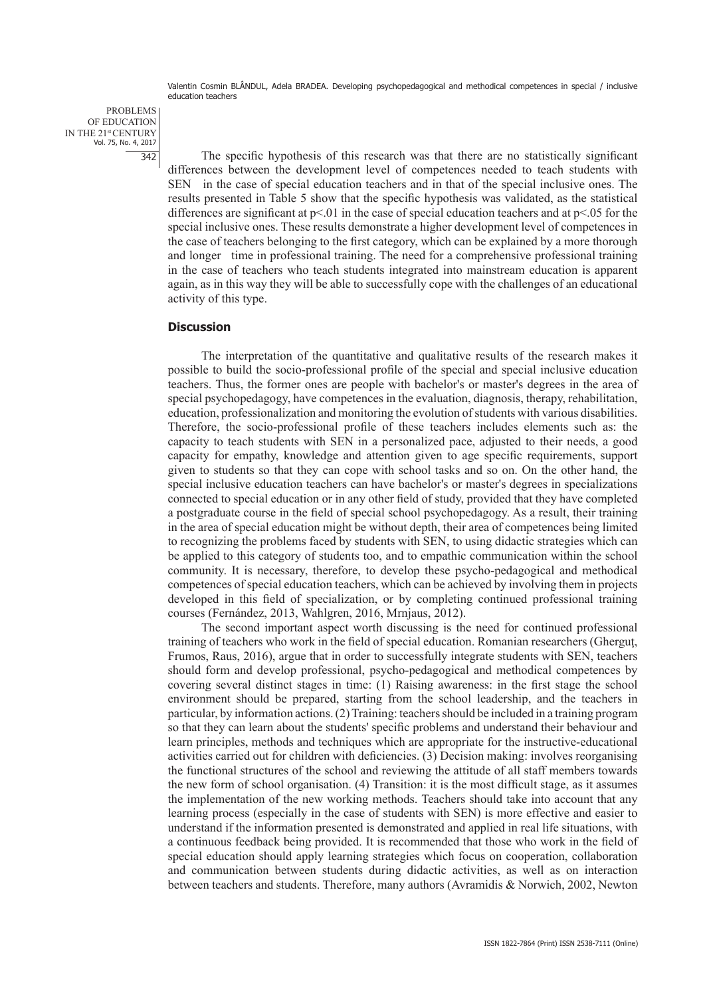PROBLEMS OF EDUCATION IN THE 21st CENTURY Vol. 75, No. 4, 2017 342

The specific hypothesis of this research was that there are no statistically significant differences between the development level of competences needed to teach students with SEN in the case of special education teachers and in that of the special inclusive ones. The results presented in Table 5 show that the specific hypothesis was validated, as the statistical differences are significant at  $p<01$  in the case of special education teachers and at  $p<0.05$  for the special inclusive ones. These results demonstrate a higher development level of competences in the case of teachers belonging to the first category, which can be explained by a more thorough and longer time in professional training. The need for a comprehensive professional training in the case of teachers who teach students integrated into mainstream education is apparent again, as in this way they will be able to successfully cope with the challenges of an educational activity of this type.

#### **Discussion**

The interpretation of the quantitative and qualitative results of the research makes it possible to build the socio-professional profile of the special and special inclusive education teachers. Thus, the former ones are people with bachelor's or master's degrees in the area of special psychopedagogy, have competences in the evaluation, diagnosis, therapy, rehabilitation, education, professionalization and monitoring the evolution of students with various disabilities. Therefore, the socio-professional profile of these teachers includes elements such as: the capacity to teach students with SEN in a personalized pace, adjusted to their needs, a good capacity for empathy, knowledge and attention given to age specific requirements, support given to students so that they can cope with school tasks and so on. On the other hand, the special inclusive education teachers can have bachelor's or master's degrees in specializations connected to special education or in any other field of study, provided that they have completed a postgraduate course in the field of special school psychopedagogy. As a result, their training in the area of special education might be without depth, their area of competences being limited to recognizing the problems faced by students with SEN, to using didactic strategies which can be applied to this category of students too, and to empathic communication within the school community. It is necessary, therefore, to develop these psycho-pedagogical and methodical competences of special education teachers, which can be achieved by involving them in projects developed in this field of specialization, or by completing continued professional training courses (Fernández, 2013, Wahlgren, 2016, Mrnjaus, 2012).

The second important aspect worth discussing is the need for continued professional training of teachers who work in the field of special education. Romanian researchers (Gherguţ, Frumos, Raus, 2016), argue that in order to successfully integrate students with SEN, teachers should form and develop professional, psycho-pedagogical and methodical competences by covering several distinct stages in time: (1) Raising awareness: in the first stage the school environment should be prepared, starting from the school leadership, and the teachers in particular, by information actions. (2) Training: teachers should be included in a training program so that they can learn about the students' specific problems and understand their behaviour and learn principles, methods and techniques which are appropriate for the instructive-educational activities carried out for children with deficiencies. (3) Decision making: involves reorganising the functional structures of the school and reviewing the attitude of all staff members towards the new form of school organisation. (4) Transition: it is the most difficult stage, as it assumes the implementation of the new working methods. Teachers should take into account that any learning process (especially in the case of students with SEN) is more effective and easier to understand if the information presented is demonstrated and applied in real life situations, with a continuous feedback being provided. It is recommended that those who work in the field of special education should apply learning strategies which focus on cooperation, collaboration and communication between students during didactic activities, as well as on interaction between teachers and students. Therefore, many authors (Avramidis & Norwich, 2002, Newton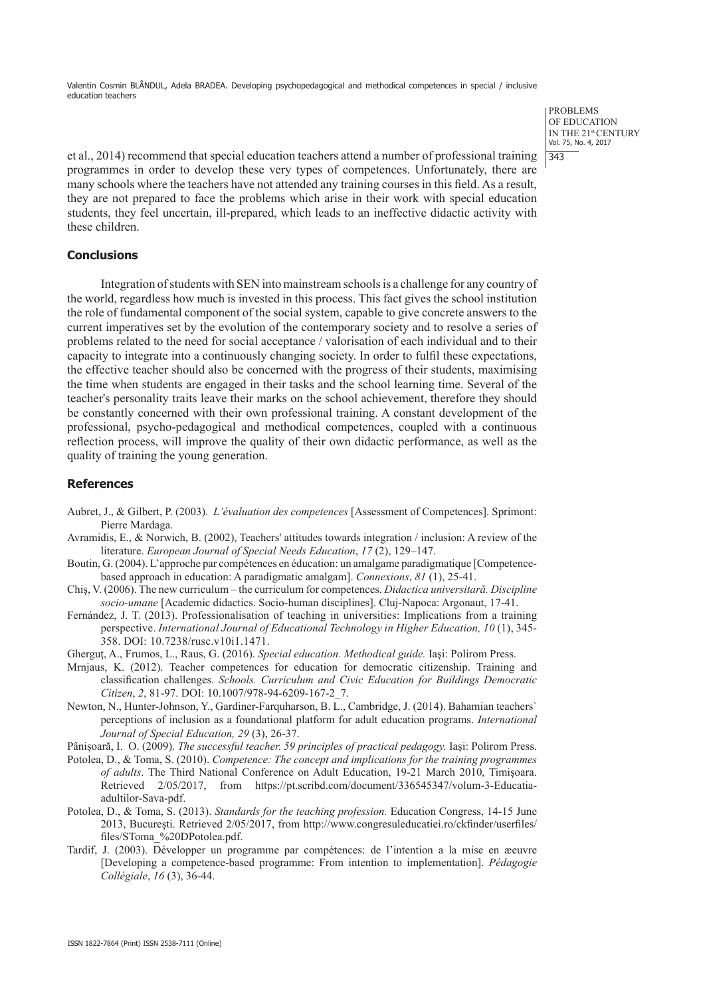> PROBLEMS OF EDUCATION IN THE 21st CENTURY Vol. 75, No. 4, 2017  $|343$

et al., 2014) recommend that special education teachers attend a number of professional training programmes in order to develop these very types of competences. Unfortunately, there are many schools where the teachers have not attended any training courses in this field. As a result, they are not prepared to face the problems which arise in their work with special education students, they feel uncertain, ill-prepared, which leads to an ineffective didactic activity with these children.

### **Conclusions**

Integration of students with SEN into mainstream schools is a challenge for any country of the world, regardless how much is invested in this process. This fact gives the school institution the role of fundamental component of the social system, capable to give concrete answers to the current imperatives set by the evolution of the contemporary society and to resolve a series of problems related to the need for social acceptance / valorisation of each individual and to their capacity to integrate into a continuously changing society. In order to fulfil these expectations, the effective teacher should also be concerned with the progress of their students, maximising the time when students are engaged in their tasks and the school learning time. Several of the teacher's personality traits leave their marks on the school achievement, therefore they should be constantly concerned with their own professional training. A constant development of the professional, psycho-pedagogical and methodical competences, coupled with a continuous reflection process, will improve the quality of their own didactic performance, as well as the quality of training the young generation.

#### **References**

- Aubret, J., & Gilbert, P. (2003). *L'évaluation des competences* [Assessment of Competences]. Sprimont: Pierre Mardaga.
- Avramidis, E., & Norwich, B. (2002), Teachers' attitudes towards integration / inclusion: A review of the literature. *European Journal of Special Needs Education*, *17* (2), 129–147.
- Boutin, G. (2004). L'approche par compétences en éducation: un amalgame paradigmatique [Competencebased approach in education: A paradigmatic amalgam]. *Connexions*, *81* (1), 25-41.
- Chiş, V. (2006). The new curriculum the curriculum for competences. *Didactica universitară. Discipline socio-umane* [Academic didactics. Socio-human disciplines]. Cluj-Napoca: Argonaut, 17-41.
- Fernández, J. T. (2013). Professionalisation of teaching in universities: Implications from a training perspective. *International Journal of Educational Technology in Higher Education, 10* (1), 345- 358. DOI: 10.7238/rusc.v10i1.1471.
- Gherguţ, A., Frumos, L., Raus, G. (2016). *Special education. Methodical guide.* Iaşi: Polirom Press.
- Mrnjaus, K. (2012). Teacher competences for education for democratic citizenship. Training and classification challenges. *Schools. Curriculum and Civic Education for Buildings Democratic Citizen*, *2*, 81-97. DOI: 10.1007/978-94-6209-167-2\_7.
- Newton, N., Hunter-Johnson, Y., Gardiner-Farquharson, B. L., Cambridge, J. (2014). Bahamian teachers` perceptions of inclusion as a foundational platform for adult education programs. *International Journal of Special Education, 29* (3), 26-37.

Pânișoară, I. O. (2009). *The successful teacher. 59 principles of practical pedagogy.* Iași: Polirom Press.

- Potolea, D., & Toma, S. (2010). *Competence: The concept and implications for the training programmes of adults*. The Third National Conference on Adult Education, 19-21 March 2010, Timişoara. Retrieved 2/05/2017, from https://pt.scribd.com/document/336545347/volum-3-Educatiaadultilor-Sava-pdf.
- Potolea, D., & Toma, S. (2013). *Standards for the teaching profession.* Education Congress, 14-15 June 2013, Bucureşti. Retrieved 2/05/2017, from http://www.congresuleducatiei.ro/ckfinder/userfiles/ files/SToma\_%20DPotolea.pdf.
- Tardif, J. (2003). Développer un programme par compétences: de l'intention a la mise en æeuvre [Developing a competence-based programme: From intention to implementation]. *Pédagogie Collégiale*, *16* (3), 36-44.